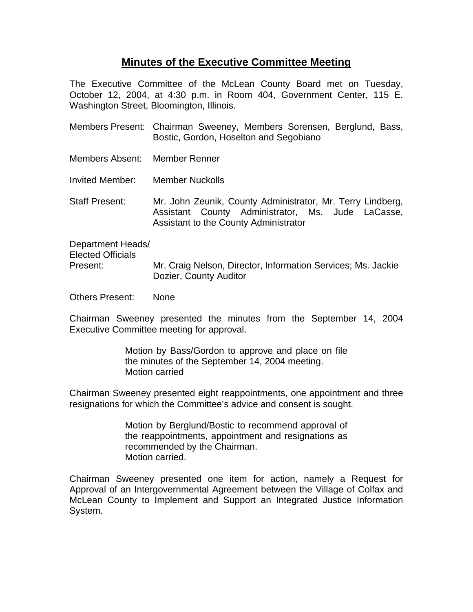## **Minutes of the Executive Committee Meeting**

The Executive Committee of the McLean County Board met on Tuesday, October 12, 2004, at 4:30 p.m. in Room 404, Government Center, 115 E. Washington Street, Bloomington, Illinois.

- Members Present: Chairman Sweeney, Members Sorensen, Berglund, Bass, Bostic, Gordon, Hoselton and Segobiano
- Members Absent: Member Renner
- Invited Member: Member Nuckolls

Staff Present: Mr. John Zeunik, County Administrator, Mr. Terry Lindberg, Assistant County Administrator, Ms. Jude LaCasse, Assistant to the County Administrator

Department Heads/ Elected Officials Present: Mr. Craig Nelson, Director, Information Services; Ms. Jackie Dozier, County Auditor

Others Present: None

Chairman Sweeney presented the minutes from the September 14, 2004 Executive Committee meeting for approval.

> Motion by Bass/Gordon to approve and place on file the minutes of the September 14, 2004 meeting. Motion carried

Chairman Sweeney presented eight reappointments, one appointment and three resignations for which the Committee's advice and consent is sought.

> Motion by Berglund/Bostic to recommend approval of the reappointments, appointment and resignations as recommended by the Chairman. Motion carried.

Chairman Sweeney presented one item for action, namely a Request for Approval of an Intergovernmental Agreement between the Village of Colfax and McLean County to Implement and Support an Integrated Justice Information System.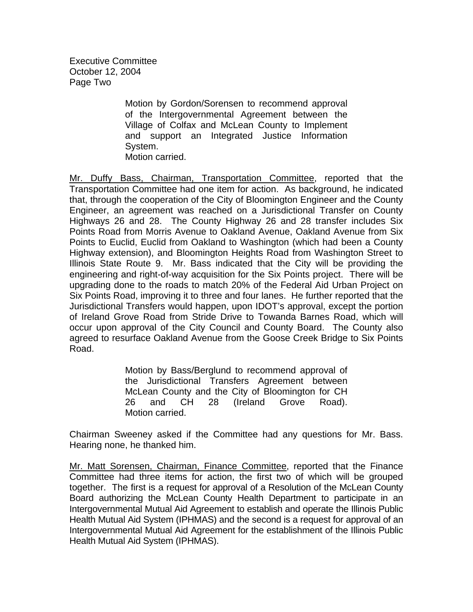Executive Committee October 12, 2004 Page Two

> Motion by Gordon/Sorensen to recommend approval of the Intergovernmental Agreement between the Village of Colfax and McLean County to Implement and support an Integrated Justice Information System. Motion carried.

Mr. Duffy Bass, Chairman, Transportation Committee, reported that the Transportation Committee had one item for action. As background, he indicated that, through the cooperation of the City of Bloomington Engineer and the County Engineer, an agreement was reached on a Jurisdictional Transfer on County Highways 26 and 28. The County Highway 26 and 28 transfer includes Six Points Road from Morris Avenue to Oakland Avenue, Oakland Avenue from Six Points to Euclid, Euclid from Oakland to Washington (which had been a County Highway extension), and Bloomington Heights Road from Washington Street to Illinois State Route 9. Mr. Bass indicated that the City will be providing the engineering and right-of-way acquisition for the Six Points project. There will be upgrading done to the roads to match 20% of the Federal Aid Urban Project on Six Points Road, improving it to three and four lanes. He further reported that the Jurisdictional Transfers would happen, upon IDOT's approval, except the portion of Ireland Grove Road from Stride Drive to Towanda Barnes Road, which will occur upon approval of the City Council and County Board. The County also agreed to resurface Oakland Avenue from the Goose Creek Bridge to Six Points Road.

> Motion by Bass/Berglund to recommend approval of the Jurisdictional Transfers Agreement between McLean County and the City of Bloomington for CH 26 and CH 28 (Ireland Grove Road). Motion carried.

Chairman Sweeney asked if the Committee had any questions for Mr. Bass. Hearing none, he thanked him.

Mr. Matt Sorensen, Chairman, Finance Committee, reported that the Finance Committee had three items for action, the first two of which will be grouped together. The first is a request for approval of a Resolution of the McLean County Board authorizing the McLean County Health Department to participate in an Intergovernmental Mutual Aid Agreement to establish and operate the Illinois Public Health Mutual Aid System (IPHMAS) and the second is a request for approval of an Intergovernmental Mutual Aid Agreement for the establishment of the Illinois Public Health Mutual Aid System (IPHMAS).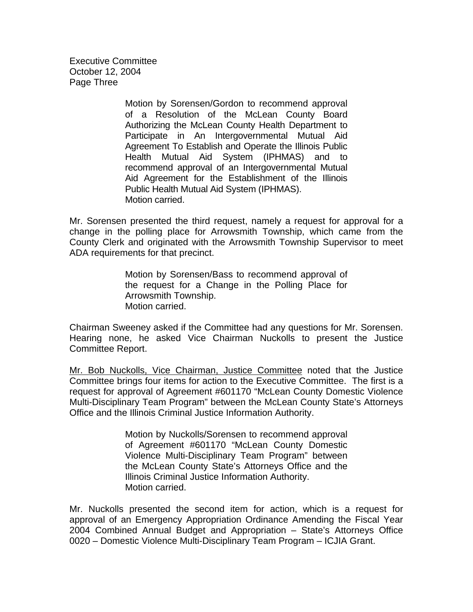Executive Committee October 12, 2004 Page Three

> Motion by Sorensen/Gordon to recommend approval of a Resolution of the McLean County Board Authorizing the McLean County Health Department to Participate in An Intergovernmental Mutual Aid Agreement To Establish and Operate the Illinois Public Health Mutual Aid System (IPHMAS) and to recommend approval of an Intergovernmental Mutual Aid Agreement for the Establishment of the Illinois Public Health Mutual Aid System (IPHMAS). Motion carried.

Mr. Sorensen presented the third request, namely a request for approval for a change in the polling place for Arrowsmith Township, which came from the County Clerk and originated with the Arrowsmith Township Supervisor to meet ADA requirements for that precinct.

> Motion by Sorensen/Bass to recommend approval of the request for a Change in the Polling Place for Arrowsmith Township. Motion carried.

Chairman Sweeney asked if the Committee had any questions for Mr. Sorensen. Hearing none, he asked Vice Chairman Nuckolls to present the Justice Committee Report.

Mr. Bob Nuckolls, Vice Chairman, Justice Committee noted that the Justice Committee brings four items for action to the Executive Committee. The first is a request for approval of Agreement #601170 "McLean County Domestic Violence Multi-Disciplinary Team Program" between the McLean County State's Attorneys Office and the Illinois Criminal Justice Information Authority.

> Motion by Nuckolls/Sorensen to recommend approval of Agreement #601170 "McLean County Domestic Violence Multi-Disciplinary Team Program" between the McLean County State's Attorneys Office and the Illinois Criminal Justice Information Authority. Motion carried.

Mr. Nuckolls presented the second item for action, which is a request for approval of an Emergency Appropriation Ordinance Amending the Fiscal Year 2004 Combined Annual Budget and Appropriation – State's Attorneys Office 0020 – Domestic Violence Multi-Disciplinary Team Program – ICJIA Grant.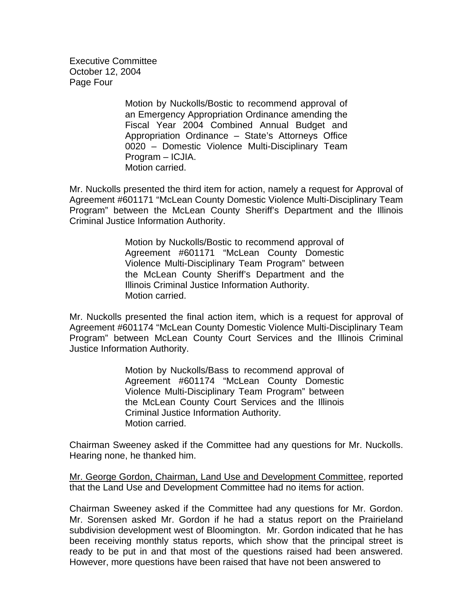Executive Committee October 12, 2004 Page Four

> Motion by Nuckolls/Bostic to recommend approval of an Emergency Appropriation Ordinance amending the Fiscal Year 2004 Combined Annual Budget and Appropriation Ordinance – State's Attorneys Office 0020 – Domestic Violence Multi-Disciplinary Team Program – ICJIA. Motion carried.

Mr. Nuckolls presented the third item for action, namely a request for Approval of Agreement #601171 "McLean County Domestic Violence Multi-Disciplinary Team Program" between the McLean County Sheriff's Department and the Illinois Criminal Justice Information Authority.

> Motion by Nuckolls/Bostic to recommend approval of Agreement #601171 "McLean County Domestic Violence Multi-Disciplinary Team Program" between the McLean County Sheriff's Department and the Illinois Criminal Justice Information Authority. Motion carried.

Mr. Nuckolls presented the final action item, which is a request for approval of Agreement #601174 "McLean County Domestic Violence Multi-Disciplinary Team Program" between McLean County Court Services and the Illinois Criminal Justice Information Authority.

> Motion by Nuckolls/Bass to recommend approval of Agreement #601174 "McLean County Domestic Violence Multi-Disciplinary Team Program" between the McLean County Court Services and the Illinois Criminal Justice Information Authority. Motion carried.

Chairman Sweeney asked if the Committee had any questions for Mr. Nuckolls. Hearing none, he thanked him.

Mr. George Gordon, Chairman, Land Use and Development Committee, reported that the Land Use and Development Committee had no items for action.

Chairman Sweeney asked if the Committee had any questions for Mr. Gordon. Mr. Sorensen asked Mr. Gordon if he had a status report on the Prairieland subdivision development west of Bloomington. Mr. Gordon indicated that he has been receiving monthly status reports, which show that the principal street is ready to be put in and that most of the questions raised had been answered. However, more questions have been raised that have not been answered to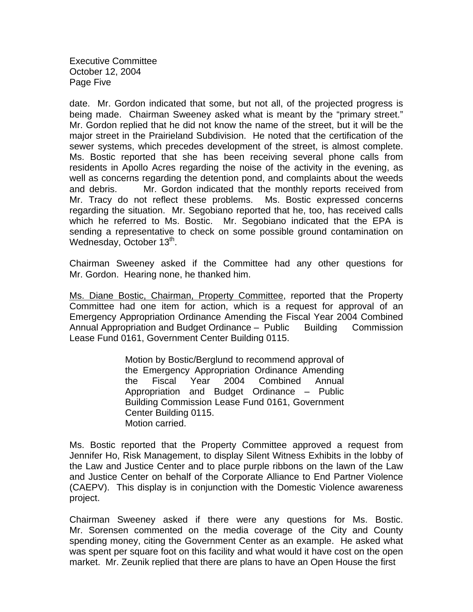Executive Committee October 12, 2004 Page Five

date. Mr. Gordon indicated that some, but not all, of the projected progress is being made. Chairman Sweeney asked what is meant by the "primary street." Mr. Gordon replied that he did not know the name of the street, but it will be the major street in the Prairieland Subdivision. He noted that the certification of the sewer systems, which precedes development of the street, is almost complete. Ms. Bostic reported that she has been receiving several phone calls from residents in Apollo Acres regarding the noise of the activity in the evening, as well as concerns regarding the detention pond, and complaints about the weeds and debris. Mr. Gordon indicated that the monthly reports received from Mr. Tracy do not reflect these problems. Ms. Bostic expressed concerns regarding the situation. Mr. Segobiano reported that he, too, has received calls which he referred to Ms. Bostic. Mr. Segobiano indicated that the EPA is sending a representative to check on some possible ground contamination on Wednesday, October 13<sup>th</sup>.

Chairman Sweeney asked if the Committee had any other questions for Mr. Gordon. Hearing none, he thanked him.

Ms. Diane Bostic, Chairman, Property Committee, reported that the Property Committee had one item for action, which is a request for approval of an Emergency Appropriation Ordinance Amending the Fiscal Year 2004 Combined Annual Appropriation and Budget Ordinance – Public Building Commission Lease Fund 0161, Government Center Building 0115.

> Motion by Bostic/Berglund to recommend approval of the Emergency Appropriation Ordinance Amending the Fiscal Year 2004 Combined Annual Appropriation and Budget Ordinance – Public Building Commission Lease Fund 0161, Government Center Building 0115. Motion carried.

Ms. Bostic reported that the Property Committee approved a request from Jennifer Ho, Risk Management, to display Silent Witness Exhibits in the lobby of the Law and Justice Center and to place purple ribbons on the lawn of the Law and Justice Center on behalf of the Corporate Alliance to End Partner Violence (CAEPV). This display is in conjunction with the Domestic Violence awareness project.

Chairman Sweeney asked if there were any questions for Ms. Bostic. Mr. Sorensen commented on the media coverage of the City and County spending money, citing the Government Center as an example. He asked what was spent per square foot on this facility and what would it have cost on the open market. Mr. Zeunik replied that there are plans to have an Open House the first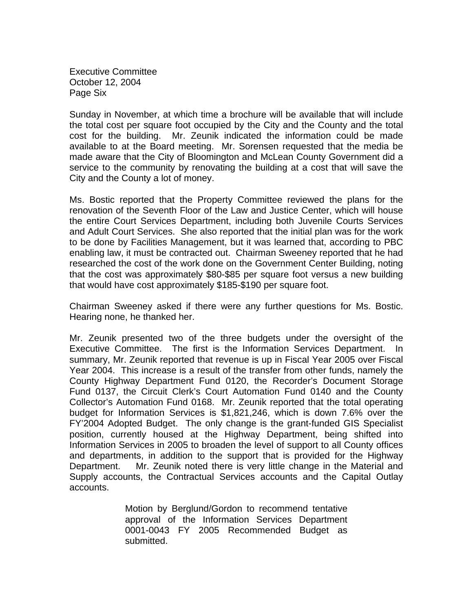Executive Committee October 12, 2004 Page Six

Sunday in November, at which time a brochure will be available that will include the total cost per square foot occupied by the City and the County and the total cost for the building. Mr. Zeunik indicated the information could be made available to at the Board meeting. Mr. Sorensen requested that the media be made aware that the City of Bloomington and McLean County Government did a service to the community by renovating the building at a cost that will save the City and the County a lot of money.

Ms. Bostic reported that the Property Committee reviewed the plans for the renovation of the Seventh Floor of the Law and Justice Center, which will house the entire Court Services Department, including both Juvenile Courts Services and Adult Court Services. She also reported that the initial plan was for the work to be done by Facilities Management, but it was learned that, according to PBC enabling law, it must be contracted out. Chairman Sweeney reported that he had researched the cost of the work done on the Government Center Building, noting that the cost was approximately \$80-\$85 per square foot versus a new building that would have cost approximately \$185-\$190 per square foot.

Chairman Sweeney asked if there were any further questions for Ms. Bostic. Hearing none, he thanked her.

Mr. Zeunik presented two of the three budgets under the oversight of the Executive Committee. The first is the Information Services Department. In summary, Mr. Zeunik reported that revenue is up in Fiscal Year 2005 over Fiscal Year 2004. This increase is a result of the transfer from other funds, namely the County Highway Department Fund 0120, the Recorder's Document Storage Fund 0137, the Circuit Clerk's Court Automation Fund 0140 and the County Collector's Automation Fund 0168. Mr. Zeunik reported that the total operating budget for Information Services is \$1,821,246, which is down 7.6% over the FY'2004 Adopted Budget. The only change is the grant-funded GIS Specialist position, currently housed at the Highway Department, being shifted into Information Services in 2005 to broaden the level of support to all County offices and departments, in addition to the support that is provided for the Highway Department. Mr. Zeunik noted there is very little change in the Material and Supply accounts, the Contractual Services accounts and the Capital Outlay accounts.

> Motion by Berglund/Gordon to recommend tentative approval of the Information Services Department 0001-0043 FY 2005 Recommended Budget as submitted.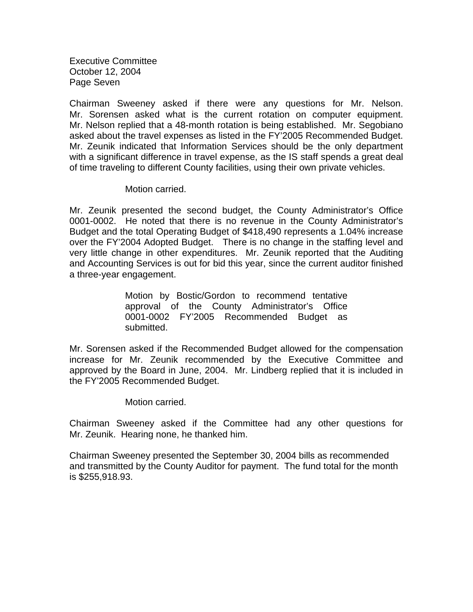Executive Committee October 12, 2004 Page Seven

Chairman Sweeney asked if there were any questions for Mr. Nelson. Mr. Sorensen asked what is the current rotation on computer equipment. Mr. Nelson replied that a 48-month rotation is being established. Mr. Segobiano asked about the travel expenses as listed in the FY'2005 Recommended Budget. Mr. Zeunik indicated that Information Services should be the only department with a significant difference in travel expense, as the IS staff spends a great deal of time traveling to different County facilities, using their own private vehicles.

## Motion carried.

Mr. Zeunik presented the second budget, the County Administrator's Office 0001-0002. He noted that there is no revenue in the County Administrator's Budget and the total Operating Budget of \$418,490 represents a 1.04% increase over the FY'2004 Adopted Budget. There is no change in the staffing level and very little change in other expenditures. Mr. Zeunik reported that the Auditing and Accounting Services is out for bid this year, since the current auditor finished a three-year engagement.

> Motion by Bostic/Gordon to recommend tentative approval of the County Administrator's Office 0001-0002 FY'2005 Recommended Budget as submitted.

Mr. Sorensen asked if the Recommended Budget allowed for the compensation increase for Mr. Zeunik recommended by the Executive Committee and approved by the Board in June, 2004. Mr. Lindberg replied that it is included in the FY'2005 Recommended Budget.

Motion carried.

Chairman Sweeney asked if the Committee had any other questions for Mr. Zeunik. Hearing none, he thanked him.

Chairman Sweeney presented the September 30, 2004 bills as recommended and transmitted by the County Auditor for payment. The fund total for the month is \$255,918.93.